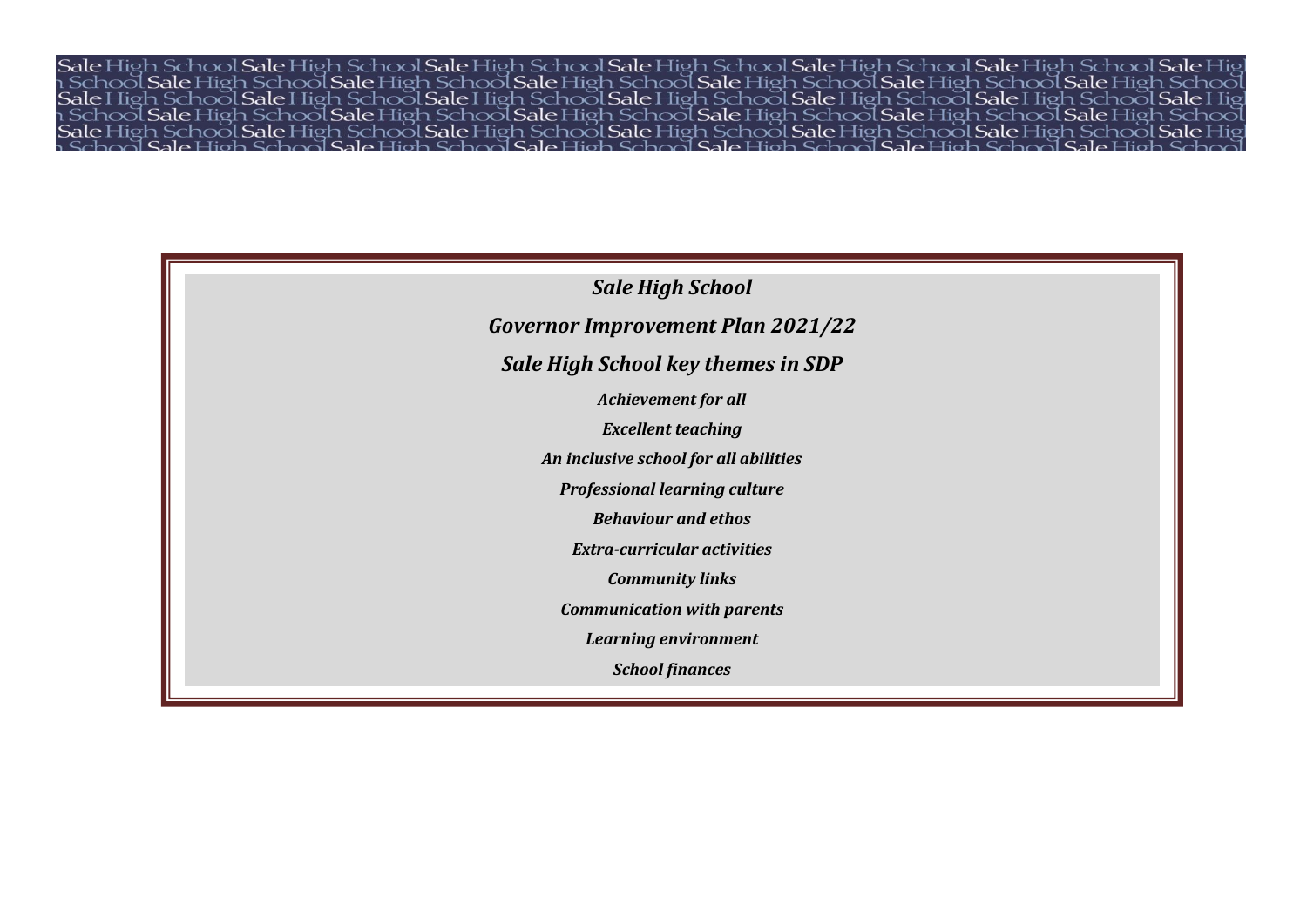School Sale High School Sale High School Sale High School Sale High School Sale High School Sale I sale mer i sale High School Sale High School Sale High School Sale High School Sale High School Sale High School<br>Sale High School Sale High School Sale High School Sale High School Sale High School Sale High School Sale Hi le High School Sale High School Sale High School Sale High School Sale High School Sale Hig

# *Sale High School Governor Improvement Plan 2021/22 Sale High School key themes in SDP Achievement for all Excellent teaching An inclusive school for all abilities Professional learning culture Behaviour and ethos Extra-curricular activities Community links Communication with parents Learning environment School finances*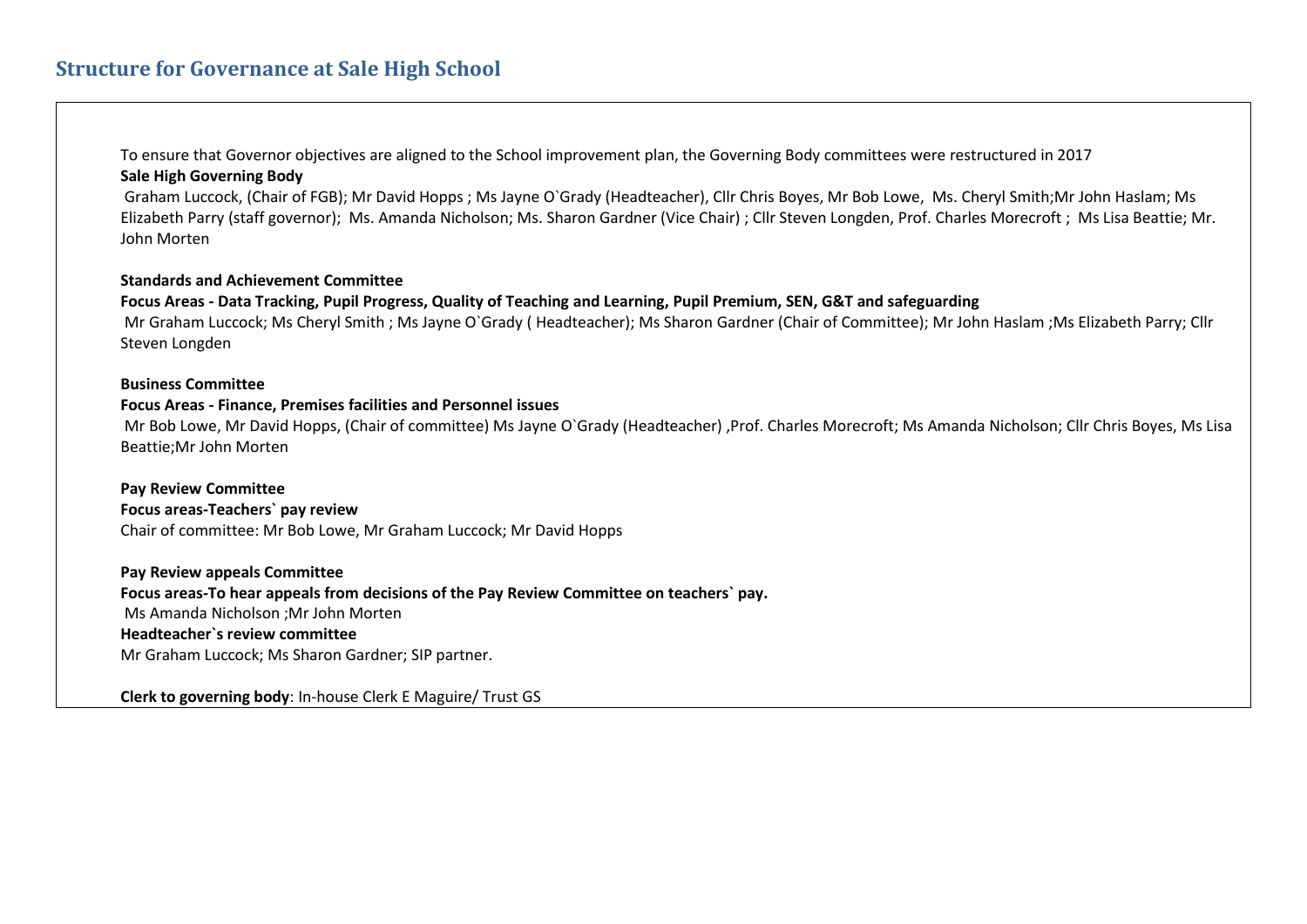To ensure that Governor objectives are aligned to the School improvement plan, the Governing Body committees were restructured in 2017 **Sale High Governing Body** 

 Graham Luccock, (Chair of FGB); Mr David Hopps ; Ms Jayne O`Grady (Headteacher), Cllr Chris Boyes, Mr Bob Lowe, Ms. Cheryl Smith;Mr John Haslam; Ms Elizabeth Parry (staff governor); Ms. Amanda Nicholson; Ms. Sharon Gardner (Vice Chair) ; Cllr Steven Longden, Prof. Charles Morecroft ; Ms Lisa Beattie; Mr. John Morten

## **Standards and Achievement Committee**

**Focus Areas - Data Tracking, Pupil Progress, Quality of Teaching and Learning, Pupil Premium, SEN, G&T and safeguarding**  Mr Graham Luccock; Ms Cheryl Smith ; Ms Jayne O`Grady ( Headteacher); Ms Sharon Gardner (Chair of Committee); Mr John Haslam ;Ms Elizabeth Parry; Cllr Steven Longden

#### **Business Committee**

## **Focus Areas - Finance, Premises facilities and Personnel issues**

 Mr Bob Lowe, Mr David Hopps, (Chair of committee) Ms Jayne O`Grady (Headteacher) ,Prof. Charles Morecroft; Ms Amanda Nicholson; Cllr Chris Boyes, Ms Lisa Beattie;Mr John Morten

# **Pay Review Committee**

**Focus areas-Teachers` pay review** 

Chair of committee: Mr Bob Lowe, Mr Graham Luccock; Mr David Hopps

## **Pay Review appeals Committee**

**Focus areas-To hear appeals from decisions of the Pay Review Committee on teachers` pay.** 

Ms Amanda Nicholson ;Mr John Morten

# **Headteacher`s review committee**

Mr Graham Luccock; Ms Sharon Gardner; SIP partner.

**Clerk to governing body**: In-house Clerk E Maguire/ Trust GS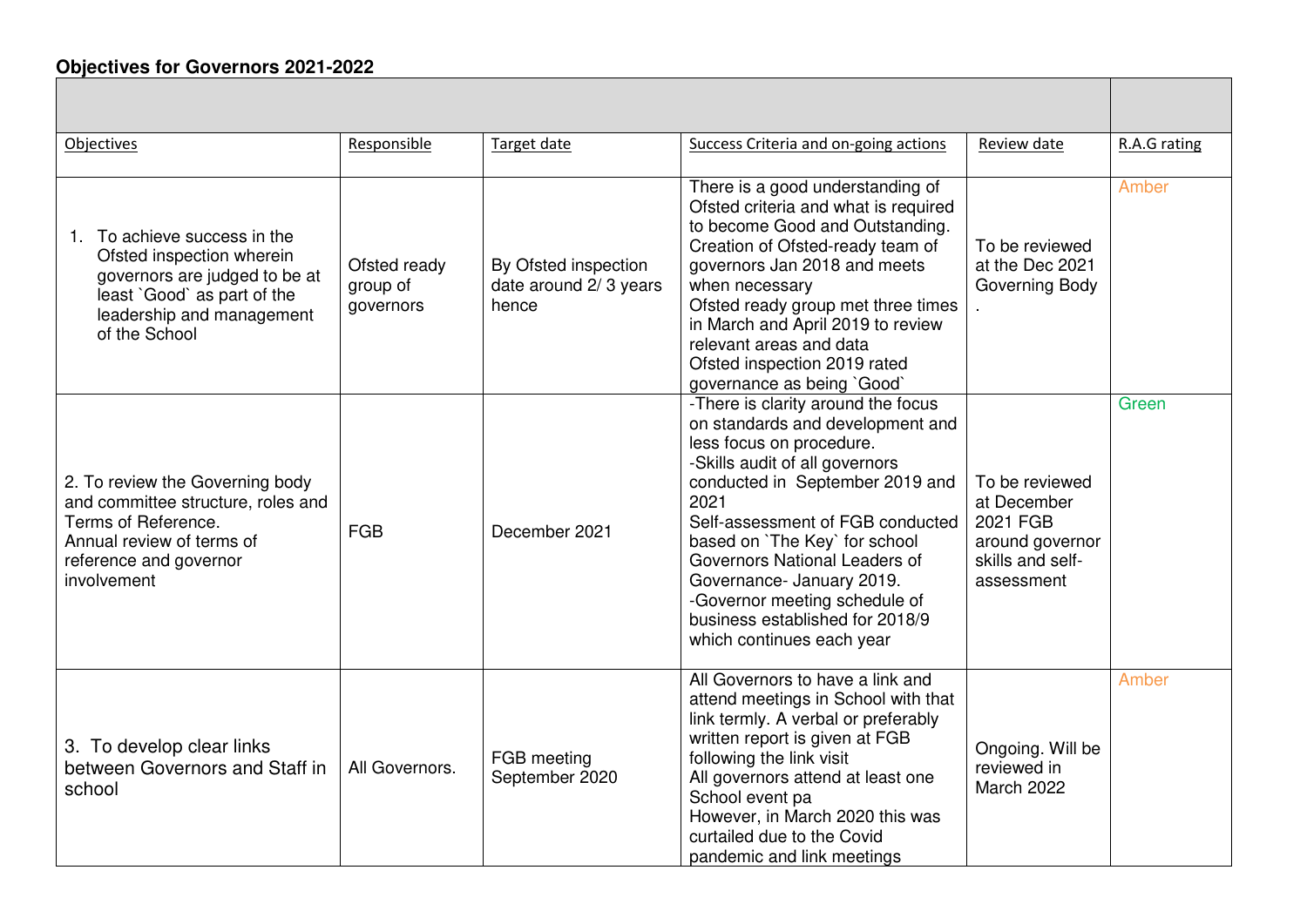# **Objectives for Governors 2021-2022**

| Objectives                                                                                                                                                              | Responsible                           | Target date                                            | Success Criteria and on-going actions                                                                                                                                                                                                                                                                                                                                                                               | Review date                                                                                    | R.A.G rating |
|-------------------------------------------------------------------------------------------------------------------------------------------------------------------------|---------------------------------------|--------------------------------------------------------|---------------------------------------------------------------------------------------------------------------------------------------------------------------------------------------------------------------------------------------------------------------------------------------------------------------------------------------------------------------------------------------------------------------------|------------------------------------------------------------------------------------------------|--------------|
| 1. To achieve success in the<br>Ofsted inspection wherein<br>governors are judged to be at<br>least `Good` as part of the<br>leadership and management<br>of the School | Ofsted ready<br>group of<br>governors | By Ofsted inspection<br>date around 2/3 years<br>hence | There is a good understanding of<br>Ofsted criteria and what is required<br>to become Good and Outstanding.<br>Creation of Ofsted-ready team of<br>governors Jan 2018 and meets<br>when necessary<br>Ofsted ready group met three times<br>in March and April 2019 to review<br>relevant areas and data<br>Ofsted inspection 2019 rated<br>governance as being `Good`                                               | To be reviewed<br>at the Dec 2021<br>Governing Body                                            | Amber        |
| 2. To review the Governing body<br>and committee structure, roles and<br>Terms of Reference.<br>Annual review of terms of<br>reference and governor<br>involvement      | <b>FGB</b>                            | December 2021                                          | -There is clarity around the focus<br>on standards and development and<br>less focus on procedure.<br>-Skills audit of all governors<br>conducted in September 2019 and<br>2021<br>Self-assessment of FGB conducted<br>based on 'The Key' for school<br>Governors National Leaders of<br>Governance- January 2019.<br>-Governor meeting schedule of<br>business established for 2018/9<br>which continues each year | To be reviewed<br>at December<br>2021 FGB<br>around governor<br>skills and self-<br>assessment | Green        |
| 3. To develop clear links<br>between Governors and Staff in<br>school                                                                                                   | All Governors.                        | FGB meeting<br>September 2020                          | All Governors to have a link and<br>attend meetings in School with that<br>link termly. A verbal or preferably<br>written report is given at FGB<br>following the link visit<br>All governors attend at least one<br>School event pa<br>However, in March 2020 this was<br>curtailed due to the Covid<br>pandemic and link meetings                                                                                 | Ongoing. Will be<br>reviewed in<br>March 2022                                                  | Amber        |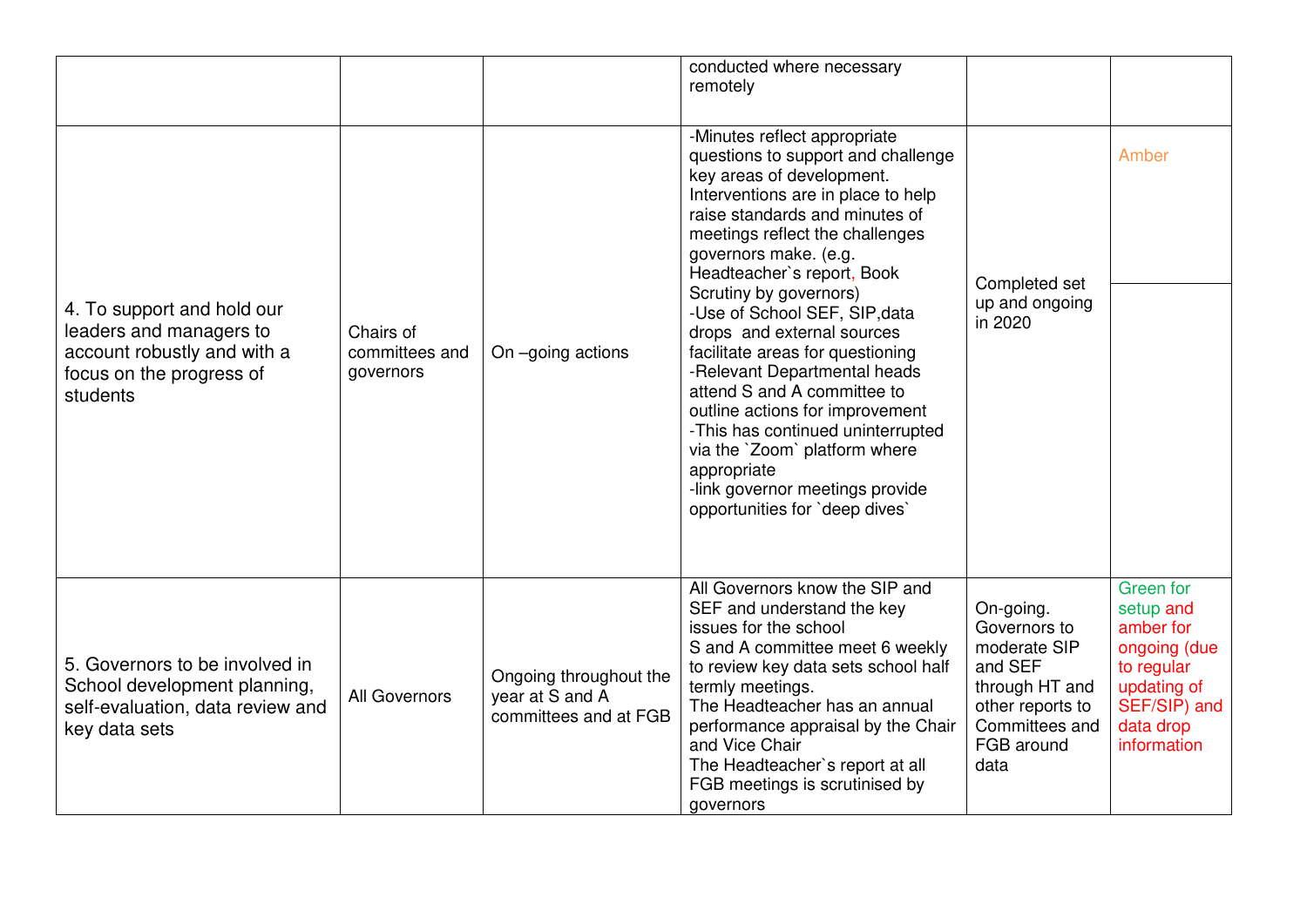|                                                                                                                              |                                          |                                                                    | conducted where necessary<br>remotely                                                                                                                                                                                                                                                                                                                                                                                                                                                                                                                                                                                                                      |                                                                                                                                    |                                                                                                                                     |
|------------------------------------------------------------------------------------------------------------------------------|------------------------------------------|--------------------------------------------------------------------|------------------------------------------------------------------------------------------------------------------------------------------------------------------------------------------------------------------------------------------------------------------------------------------------------------------------------------------------------------------------------------------------------------------------------------------------------------------------------------------------------------------------------------------------------------------------------------------------------------------------------------------------------------|------------------------------------------------------------------------------------------------------------------------------------|-------------------------------------------------------------------------------------------------------------------------------------|
| 4. To support and hold our<br>leaders and managers to<br>account robustly and with a<br>focus on the progress of<br>students | Chairs of<br>committees and<br>governors | On -going actions                                                  | -Minutes reflect appropriate<br>questions to support and challenge<br>key areas of development.<br>Interventions are in place to help<br>raise standards and minutes of<br>meetings reflect the challenges<br>governors make. (e.g.<br>Headteacher's report, Book<br>Scrutiny by governors)<br>-Use of School SEF, SIP, data<br>drops and external sources<br>facilitate areas for questioning<br>-Relevant Departmental heads<br>attend S and A committee to<br>outline actions for improvement<br>-This has continued uninterrupted<br>via the `Zoom` platform where<br>appropriate<br>-link governor meetings provide<br>opportunities for 'deep dives' | Completed set<br>up and ongoing<br>in 2020                                                                                         | Amber                                                                                                                               |
| 5. Governors to be involved in<br>School development planning,<br>self-evaluation, data review and<br>key data sets          | All Governors                            | Ongoing throughout the<br>year at S and A<br>committees and at FGB | All Governors know the SIP and<br>SEF and understand the key<br>issues for the school<br>S and A committee meet 6 weekly<br>to review key data sets school half<br>termly meetings.<br>The Headteacher has an annual<br>performance appraisal by the Chair<br>and Vice Chair<br>The Headteacher's report at all<br>FGB meetings is scrutinised by<br>governors                                                                                                                                                                                                                                                                                             | On-going.<br>Governors to<br>moderate SIP<br>and SEF<br>through HT and<br>other reports to<br>Committees and<br>FGB around<br>data | <b>Green</b> for<br>setup and<br>amber for<br>ongoing (due<br>to regular<br>updating of<br>SEF/SIP) and<br>data drop<br>information |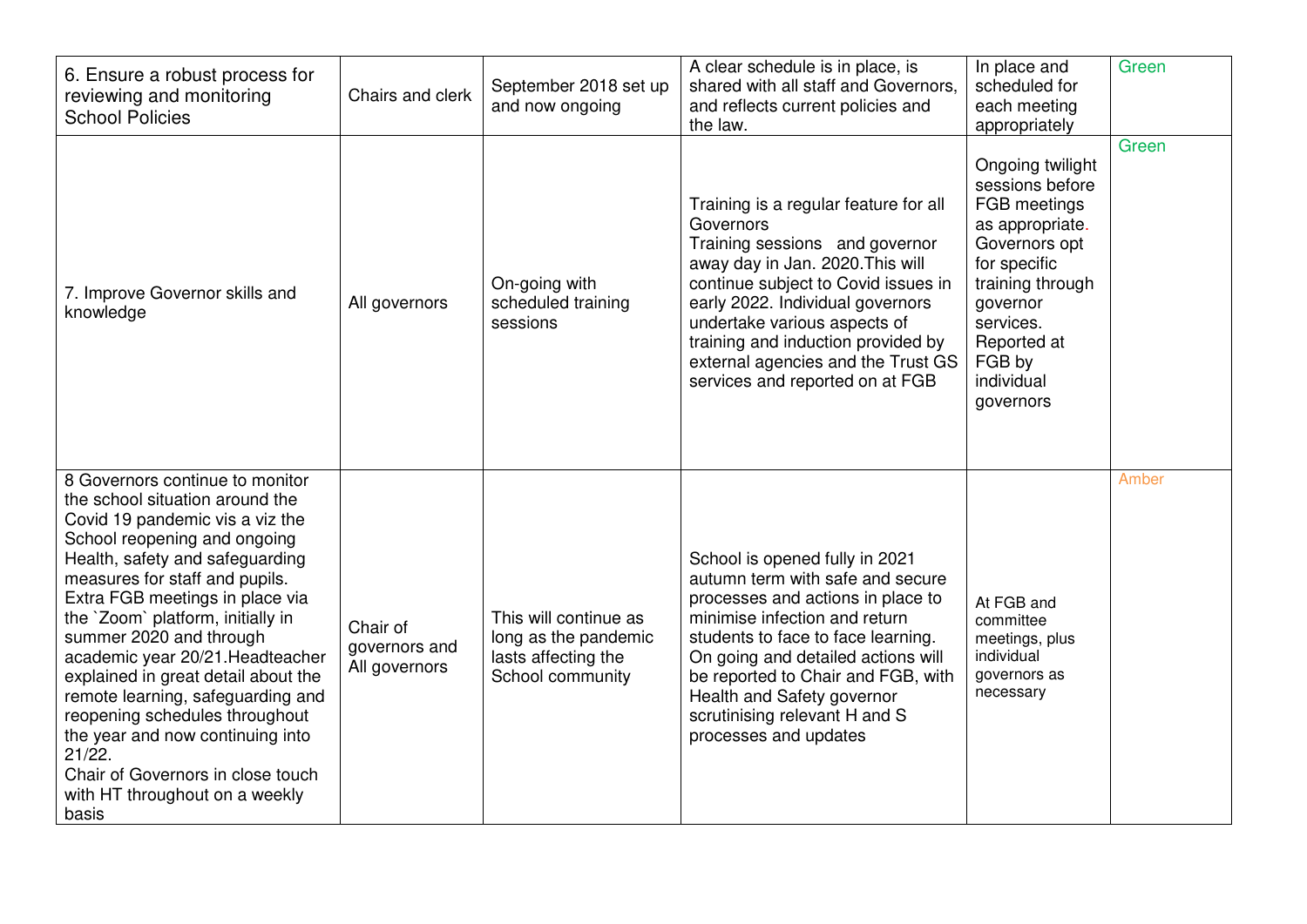| 6. Ensure a robust process for<br>reviewing and monitoring<br><b>School Policies</b>                                                                                                                                                                                                                                                                                                                                                                                                                                                                                                          | Chairs and clerk                           | September 2018 set up<br>and now ongoing                                                 | A clear schedule is in place, is<br>shared with all staff and Governors,<br>and reflects current policies and<br>the law.                                                                                                                                                                                                                          | In place and<br>scheduled for<br>each meeting<br>appropriately                                                                                                                                           | Green |
|-----------------------------------------------------------------------------------------------------------------------------------------------------------------------------------------------------------------------------------------------------------------------------------------------------------------------------------------------------------------------------------------------------------------------------------------------------------------------------------------------------------------------------------------------------------------------------------------------|--------------------------------------------|------------------------------------------------------------------------------------------|----------------------------------------------------------------------------------------------------------------------------------------------------------------------------------------------------------------------------------------------------------------------------------------------------------------------------------------------------|----------------------------------------------------------------------------------------------------------------------------------------------------------------------------------------------------------|-------|
| 7. Improve Governor skills and<br>knowledge                                                                                                                                                                                                                                                                                                                                                                                                                                                                                                                                                   | All governors                              | On-going with<br>scheduled training<br>sessions                                          | Training is a regular feature for all<br>Governors<br>Training sessions and governor<br>away day in Jan. 2020. This will<br>continue subject to Covid issues in<br>early 2022. Individual governors<br>undertake various aspects of<br>training and induction provided by<br>external agencies and the Trust GS<br>services and reported on at FGB | Ongoing twilight<br>sessions before<br>FGB meetings<br>as appropriate.<br>Governors opt<br>for specific<br>training through<br>governor<br>services.<br>Reported at<br>FGB by<br>individual<br>governors | Green |
| 8 Governors continue to monitor<br>the school situation around the<br>Covid 19 pandemic vis a viz the<br>School reopening and ongoing<br>Health, safety and safeguarding<br>measures for staff and pupils.<br>Extra FGB meetings in place via<br>the `Zoom` platform, initially in<br>summer 2020 and through<br>academic year 20/21. Headteacher<br>explained in great detail about the<br>remote learning, safeguarding and<br>reopening schedules throughout<br>the year and now continuing into<br>21/22.<br>Chair of Governors in close touch<br>with HT throughout on a weekly<br>basis | Chair of<br>governors and<br>All governors | This will continue as<br>long as the pandemic<br>lasts affecting the<br>School community | School is opened fully in 2021<br>autumn term with safe and secure<br>processes and actions in place to<br>minimise infection and return<br>students to face to face learning.<br>On going and detailed actions will<br>be reported to Chair and FGB, with<br>Health and Safety governor<br>scrutinising relevant H and S<br>processes and updates | At FGB and<br>committee<br>meetings, plus<br>individual<br>governors as<br>necessary                                                                                                                     | Amber |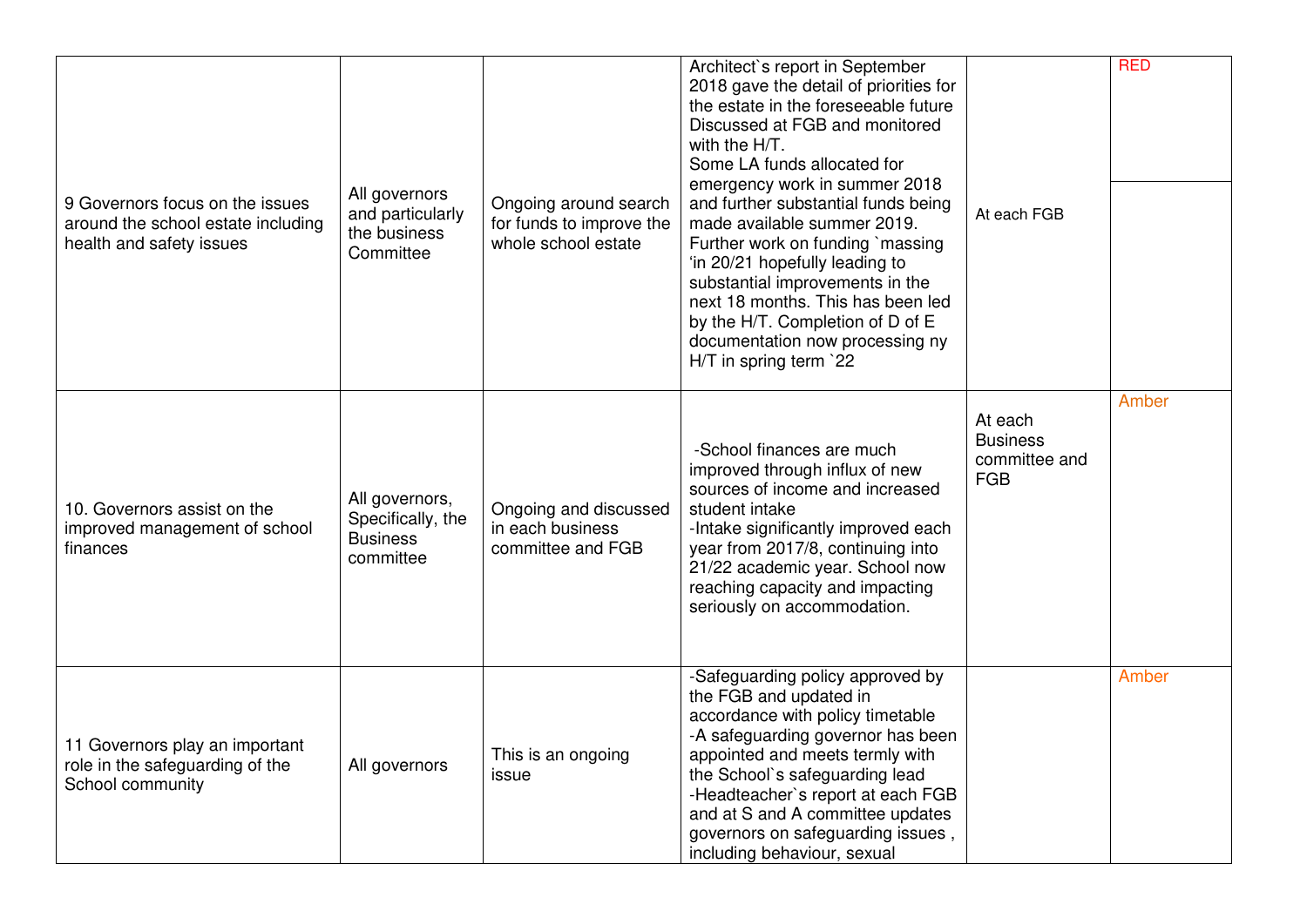| 9 Governors focus on the issues<br>around the school estate including<br>health and safety issues | All governors<br>and particularly<br>the business<br>Committee      | Ongoing around search<br>for funds to improve the<br>whole school estate | Architect's report in September<br>2018 gave the detail of priorities for<br>the estate in the foreseeable future<br>Discussed at FGB and monitored<br>with the H/T.<br>Some LA funds allocated for<br>emergency work in summer 2018<br>and further substantial funds being<br>made available summer 2019.<br>Further work on funding `massing<br>'in 20/21 hopefully leading to<br>substantial improvements in the<br>next 18 months. This has been led<br>by the H/T. Completion of D of E<br>documentation now processing ny<br>H/T in spring term `22 | At each FGB                                               | <b>RED</b> |
|---------------------------------------------------------------------------------------------------|---------------------------------------------------------------------|--------------------------------------------------------------------------|-----------------------------------------------------------------------------------------------------------------------------------------------------------------------------------------------------------------------------------------------------------------------------------------------------------------------------------------------------------------------------------------------------------------------------------------------------------------------------------------------------------------------------------------------------------|-----------------------------------------------------------|------------|
| 10. Governors assist on the<br>improved management of school<br>finances                          | All governors,<br>Specifically, the<br><b>Business</b><br>committee | Ongoing and discussed<br>in each business<br>committee and FGB           | -School finances are much<br>improved through influx of new<br>sources of income and increased<br>student intake<br>-Intake significantly improved each<br>year from 2017/8, continuing into<br>21/22 academic year. School now<br>reaching capacity and impacting<br>seriously on accommodation.                                                                                                                                                                                                                                                         | At each<br><b>Business</b><br>committee and<br><b>FGB</b> | Amber      |
| 11 Governors play an important<br>role in the safeguarding of the<br>School community             | All governors                                                       | This is an ongoing<br>issue                                              | -Safeguarding policy approved by<br>the FGB and updated in<br>accordance with policy timetable<br>-A safeguarding governor has been<br>appointed and meets termly with<br>the School's safeguarding lead<br>-Headteacher's report at each FGB<br>and at S and A committee updates<br>governors on safeguarding issues,<br>including behaviour, sexual                                                                                                                                                                                                     |                                                           | Amber      |